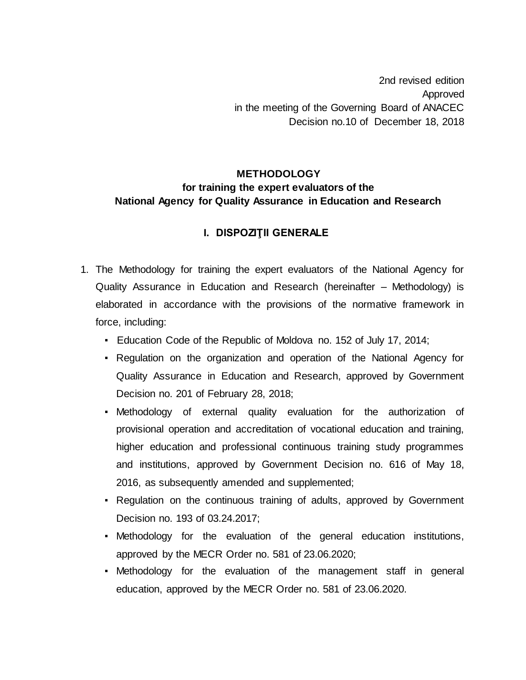2nd revised edition Approved in the meeting of the Governing Board of ANACEC Decision no.10 of December 18, 2018

## **METHODOLOGY for training the expert evaluators of the National Agency for Quality Assurance in Education and Research**

## **I. DISPOZIŢII GENERALE**

- 1. The Methodology for training the expert evaluators of the National Agency for Quality Assurance in Education and Research (hereinafter – Methodology) is elaborated in accordance with the provisions of the normative framework in force, including:
	- Education Code of the Republic of Moldova no. 152 of July 17, 2014;
	- Regulation on the organization and operation of the National Agency for Quality Assurance in Education and Research, approved by Government Decision no. 201 of February 28, 2018;
	- Methodology of external quality evaluation for the authorization of provisional operation and accreditation of vocational education and training, higher education and professional continuous training study programmes and institutions, approved by Government Decision no. 616 of May 18, 2016, as subsequently amended and supplemented;
	- Regulation on the continuous training of adults, approved by Government Decision no. 193 of 03.24.2017;
	- Methodology for the evaluation of the general education institutions, approved by the MECR Order no. 581 of 23.06.2020;
	- Methodology for the evaluation of the management staff in general education, approved by the MECR Order no. 581 of 23.06.2020.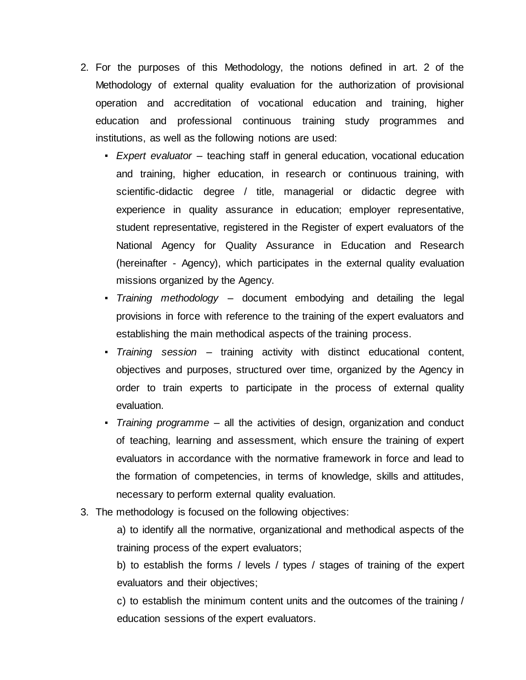- 2. For the purposes of this Methodology, the notions defined in art. 2 of the Methodology of external quality evaluation for the authorization of provisional operation and accreditation of vocational education and training, higher education and professional continuous training study programmes and institutions, as well as the following notions are used:
	- *Expert evaluator* teaching staff in general education, vocational education and training, higher education, in research or continuous training, with scientific-didactic degree / title, managerial or didactic degree with experience in quality assurance in education; employer representative, student representative, registered in the Register of expert evaluators of the National Agency for Quality Assurance in Education and Research (hereinafter - Agency), which participates in the external quality evaluation missions organized by the Agency.
	- *Training methodology* document embodying and detailing the legal provisions in force with reference to the training of the expert evaluators and establishing the main methodical aspects of the training process.
	- *Training session*  training activity with distinct educational content, objectives and purposes, structured over time, organized by the Agency in order to train experts to participate in the process of external quality evaluation.
	- *Training programme*  all the activities of design, organization and conduct of teaching, learning and assessment, which ensure the training of expert evaluators in accordance with the normative framework in force and lead to the formation of competencies, in terms of knowledge, skills and attitudes, necessary to perform external quality evaluation.
- 3. The methodology is focused on the following objectives:

a) to identify all the normative, organizational and methodical aspects of the training process of the expert evaluators;

b) to establish the forms / levels / types / stages of training of the expert evaluators and their objectives;

c) to establish the minimum content units and the outcomes of the training / education sessions of the expert evaluators.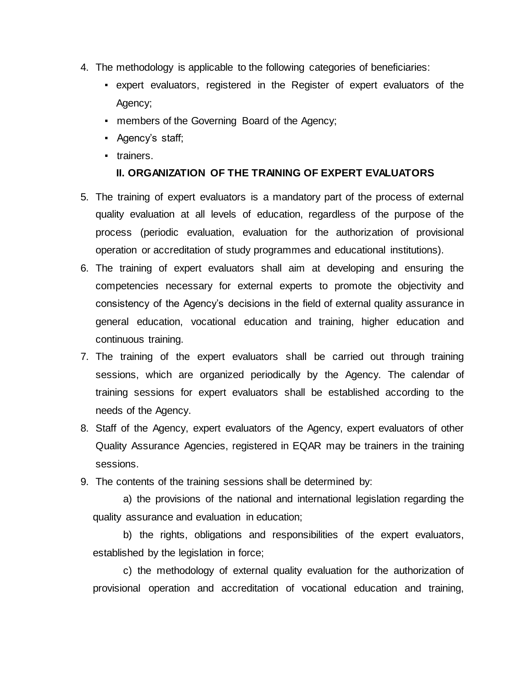- 4. The methodology is applicable to the following categories of beneficiaries:
	- expert evaluators, registered in the Register of expert evaluators of the Agency;
	- **members of the Governing Board of the Agency;**
	- Agency's staff;
	- trainers.

#### **II. ORGANIZATION OF THE TRAINING OF EXPERT EVALUATORS**

- 5. The training of expert evaluators is a mandatory part of the process of external quality evaluation at all levels of education, regardless of the purpose of the process (periodic evaluation, evaluation for the authorization of provisional operation or accreditation of study programmes and educational institutions).
- 6. The training of expert evaluators shall aim at developing and ensuring the competencies necessary for external experts to promote the objectivity and consistency of the Agency's decisions in the field of external quality assurance in general education, vocational education and training, higher education and continuous training.
- 7. The training of the expert evaluators shall be carried out through training sessions, which are organized periodically by the Agency. The calendar of training sessions for expert evaluators shall be established according to the needs of the Agency.
- 8. Staff of the Agency, expert evaluators of the Agency, expert evaluators of other Quality Assurance Agencies, registered in EQAR may be trainers in the training sessions.
- 9. The contents of the training sessions shall be determined by:

a) the provisions of the national and international legislation regarding the quality assurance and evaluation in education;

b) the rights, obligations and responsibilities of the expert evaluators, established by the legislation in force;

c) the methodology of external quality evaluation for the authorization of provisional operation and accreditation of vocational education and training,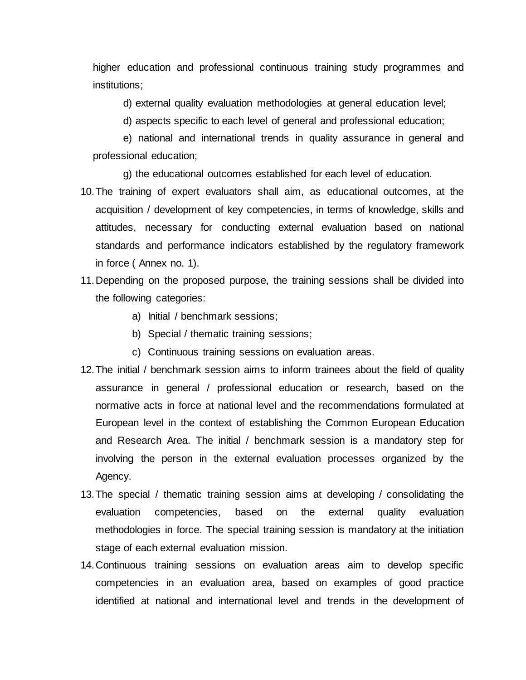higher education and professional continuous training study programmes and institutions;

d) external quality evaluation methodologies at general education level;

d) aspects specific to each level of general and professional education;

e) national and international trends in quality assurance in general and professional education;

g) the educational outcomes established for each level of education.

- 10.The training of expert evaluators shall aim, as educational outcomes, at the acquisition / development of key competencies, in terms of knowledge, skills and attitudes, necessary for conducting external evaluation based on national standards and performance indicators established by the regulatory framework in force ( Annex no. 1).
- 11.Depending on the proposed purpose, the training sessions shall be divided into the following categories:
	- a) Initial / benchmark sessions;
	- b) Special / thematic training sessions;
	- c) Continuous training sessions on evaluation areas.
- 12.The initial / benchmark session aims to inform trainees about the field of quality assurance in general / professional education or research, based on the normative acts in force at national level and the recommendations formulated at European level in the context of establishing the Common European Education and Research Area. The initial / benchmark session is a mandatory step for involving the person in the external evaluation processes organized by the Agency.
- 13.The special / thematic training session aims at developing / consolidating the evaluation competencies, based on the external quality evaluation methodologies in force. The special training session is mandatory at the initiation stage of each external evaluation mission.
- 14.Continuous training sessions on evaluation areas aim to develop specific competencies in an evaluation area, based on examples of good practice identified at national and international level and trends in the development of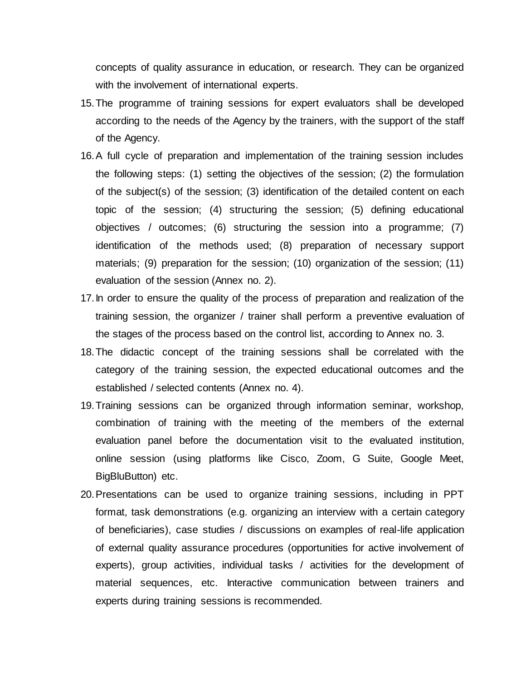concepts of quality assurance in education, or research. They can be organized with the involvement of international experts.

- 15.The programme of training sessions for expert evaluators shall be developed according to the needs of the Agency by the trainers, with the support of the staff of the Agency.
- 16.A full cycle of preparation and implementation of the training session includes the following steps: (1) setting the objectives of the session; (2) the formulation of the subject(s) of the session; (3) identification of the detailed content on each topic of the session; (4) structuring the session; (5) defining educational objectives / outcomes; (6) structuring the session into a programme; (7) identification of the methods used; (8) preparation of necessary support materials; (9) preparation for the session; (10) organization of the session; (11) evaluation of the session (Annex no. 2).
- 17.In order to ensure the quality of the process of preparation and realization of the training session, the organizer / trainer shall perform a preventive evaluation of the stages of the process based on the control list, according to Annex no. 3.
- 18.The didactic concept of the training sessions shall be correlated with the category of the training session, the expected educational outcomes and the established / selected contents (Annex no. 4).
- 19.Training sessions can be organized through information seminar, workshop, combination of training with the meeting of the members of the external evaluation panel before the documentation visit to the evaluated institution, online session (using platforms like Cisco, Zoom, G Suite, Google Meet, BigBluButton) etc.
- 20.Presentations can be used to organize training sessions, including in PPT format, task demonstrations (e.g. organizing an interview with a certain category of beneficiaries), case studies / discussions on examples of real-life application of external quality assurance procedures (opportunities for active involvement of experts), group activities, individual tasks / activities for the development of material sequences, etc. Interactive communication between trainers and experts during training sessions is recommended.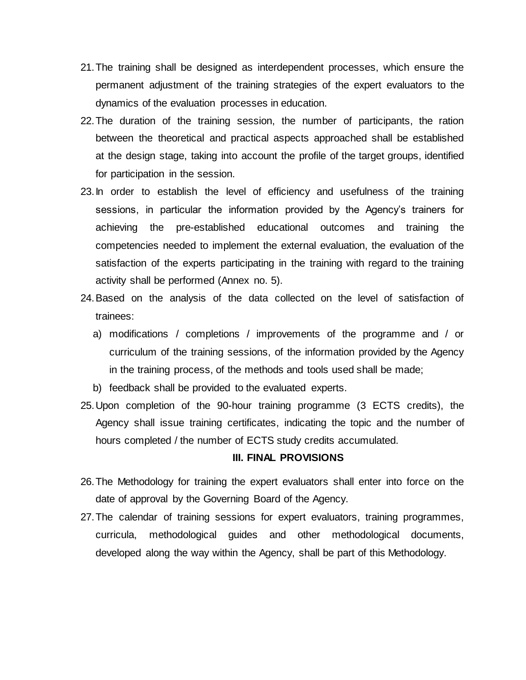- 21.The training shall be designed as interdependent processes, which ensure the permanent adjustment of the training strategies of the expert evaluators to the dynamics of the evaluation processes in education.
- 22.The duration of the training session, the number of participants, the ration between the theoretical and practical aspects approached shall be established at the design stage, taking into account the profile of the target groups, identified for participation in the session.
- 23.In order to establish the level of efficiency and usefulness of the training sessions, in particular the information provided by the Agency's trainers for achieving the pre-established educational outcomes and training the competencies needed to implement the external evaluation, the evaluation of the satisfaction of the experts participating in the training with regard to the training activity shall be performed (Annex no. 5).
- 24.Based on the analysis of the data collected on the level of satisfaction of trainees:
	- a) modifications / completions / improvements of the programme and / or curriculum of the training sessions, of the information provided by the Agency in the training process, of the methods and tools used shall be made;
	- b) feedback shall be provided to the evaluated experts.
- 25.Upon completion of the 90-hour training programme (3 ECTS credits), the Agency shall issue training certificates, indicating the topic and the number of hours completed / the number of ECTS study credits accumulated.

#### **III. FINAL PROVISIONS**

- 26.The Methodology for training the expert evaluators shall enter into force on the date of approval by the Governing Board of the Agency.
- 27.The calendar of training sessions for expert evaluators, training programmes, curricula, methodological guides and other methodological documents, developed along the way within the Agency, shall be part of this Methodology.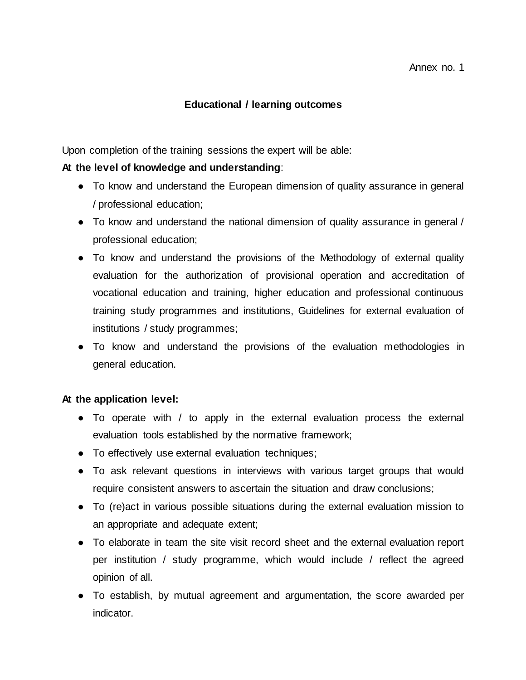### **Educational / learning outcomes**

Upon completion of the training sessions the expert will be able:

### **At the level of knowledge and understanding**:

- To know and understand the European dimension of quality assurance in general / professional education;
- To know and understand the national dimension of quality assurance in general / professional education;
- To know and understand the provisions of the Methodology of external quality evaluation for the authorization of provisional operation and accreditation of vocational education and training, higher education and professional continuous training study programmes and institutions, Guidelines for external evaluation of institutions / study programmes;
- To know and understand the provisions of the evaluation methodologies in general education.

#### **At the application level:**

- To operate with / to apply in the external evaluation process the external evaluation tools established by the normative framework;
- To effectively use external evaluation techniques;
- To ask relevant questions in interviews with various target groups that would require consistent answers to ascertain the situation and draw conclusions;
- To (re)act in various possible situations during the external evaluation mission to an appropriate and adequate extent;
- To elaborate in team the site visit record sheet and the external evaluation report per institution / study programme, which would include / reflect the agreed opinion of all.
- To establish, by mutual agreement and argumentation, the score awarded per indicator.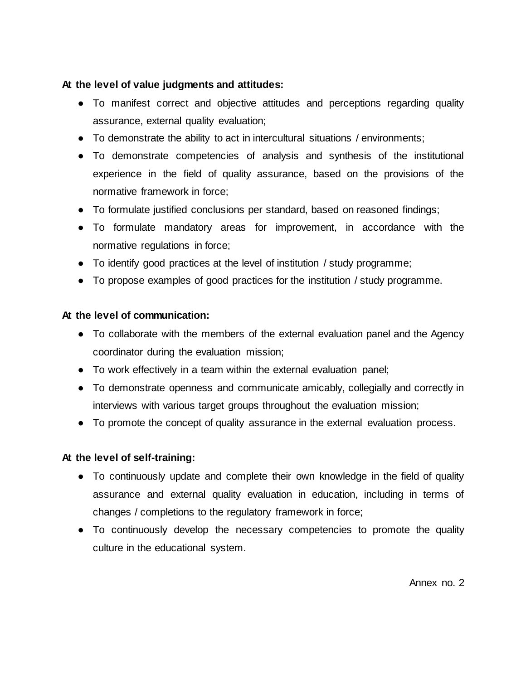## **At the level of value judgments and attitudes:**

- To manifest correct and objective attitudes and perceptions regarding quality assurance, external quality evaluation;
- To demonstrate the ability to act in intercultural situations / environments;
- To demonstrate competencies of analysis and synthesis of the institutional experience in the field of quality assurance, based on the provisions of the normative framework in force;
- To formulate justified conclusions per standard, based on reasoned findings;
- To formulate mandatory areas for improvement, in accordance with the normative regulations in force;
- To identify good practices at the level of institution / study programme;
- To propose examples of good practices for the institution / study programme.

## **At the level of communication:**

- To collaborate with the members of the external evaluation panel and the Agency coordinator during the evaluation mission;
- To work effectively in a team within the external evaluation panel;
- To demonstrate openness and communicate amicably, collegially and correctly in interviews with various target groups throughout the evaluation mission;
- To promote the concept of quality assurance in the external evaluation process.

## **At the level of self-training:**

- To continuously update and complete their own knowledge in the field of quality assurance and external quality evaluation in education, including in terms of changes / completions to the regulatory framework in force;
- To continuously develop the necessary competencies to promote the quality culture in the educational system.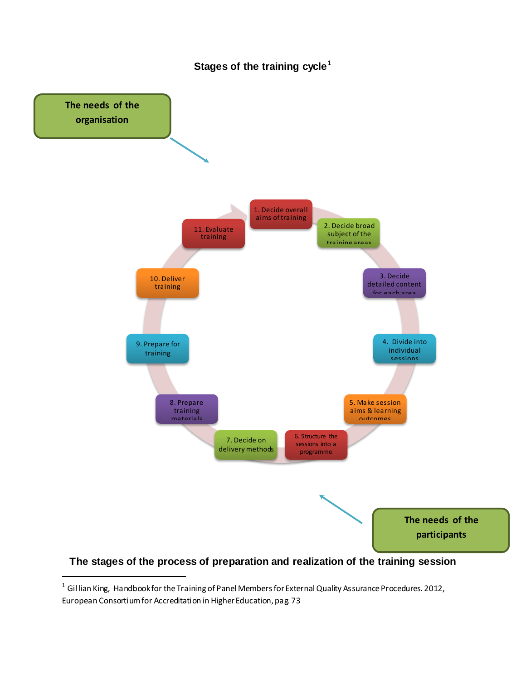



## **The stages of the process of preparation and realization of the training session**

l

<sup>&</sup>lt;sup>1</sup> Gillian King, Handbook for the Training of Panel Members for External Quality Assurance Procedures. 2012, European Consortium for Accreditation in Higher Education, pag. 73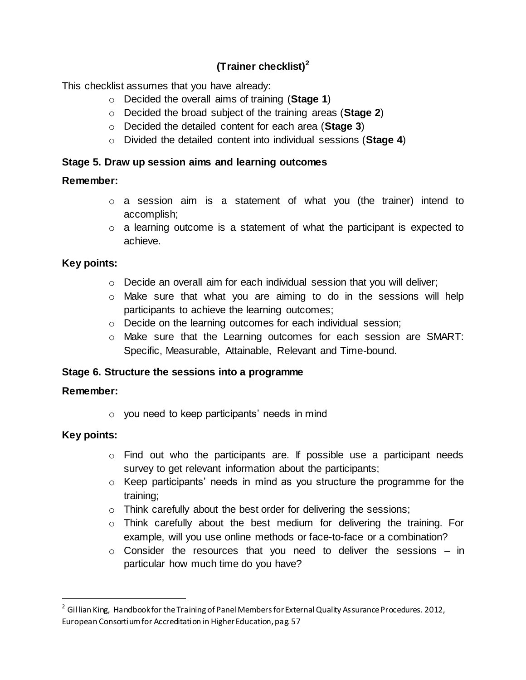# **(Trainer checklist)<sup>2</sup>**

This checklist assumes that you have already:

- o Decided the overall aims of training (**Stage 1**)
- o Decided the broad subject of the training areas (**Stage 2**)
- o Decided the detailed content for each area (**Stage 3**)
- o Divided the detailed content into individual sessions (**Stage 4**)

### **Stage 5. Draw up session aims and learning outcomes**

#### **Remember:**

- o a session aim is a statement of what you (the trainer) intend to accomplish;
- o a learning outcome is a statement of what the participant is expected to achieve.

## **Key points:**

- o Decide an overall aim for each individual session that you will deliver;
- o Make sure that what you are aiming to do in the sessions will help participants to achieve the learning outcomes;
- o Decide on the learning outcomes for each individual session;
- o Make sure that the Learning outcomes for each session are SMART: Specific, Measurable, Attainable, Relevant and Time-bound.

## **Stage 6. Structure the sessions into a programme**

## **Remember:**

o you need to keep participants' needs in mind

## **Key points:**

1

- o Find out who the participants are. If possible use a participant needs survey to get relevant information about the participants;
- $\circ$  Keep participants' needs in mind as you structure the programme for the training;
- o Think carefully about the best order for delivering the sessions;
- o Think carefully about the best medium for delivering the training. For example, will you use online methods or face-to-face or a combination?
- $\circ$  Consider the resources that you need to deliver the sessions in particular how much time do you have?

<sup>&</sup>lt;sup>2</sup> Gillian King, Handbook for the Training of Panel Members for External Quality Assurance Procedures. 2012, European Consortium for Accreditation in Higher Education, pag. 57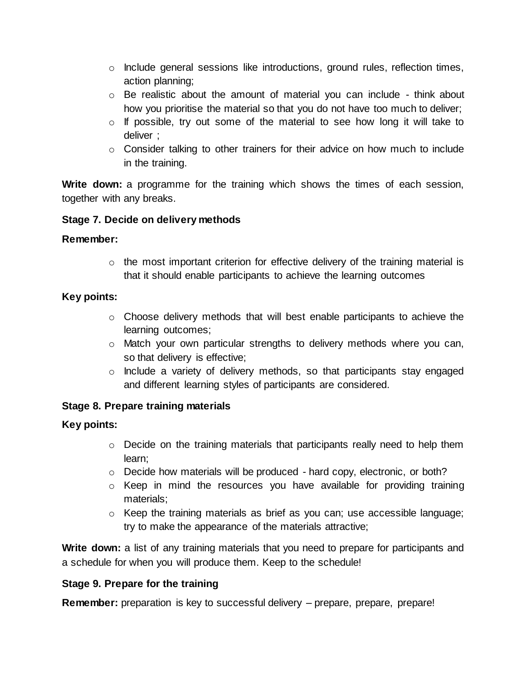- $\circ$  Include general sessions like introductions, ground rules, reflection times, action planning;
- $\circ$  Be realistic about the amount of material you can include think about how you prioritise the material so that you do not have too much to deliver;
- $\circ$  If possible, try out some of the material to see how long it will take to deliver ;
- $\circ$  Consider talking to other trainers for their advice on how much to include in the training.

**Write down:** a programme for the training which shows the times of each session, together with any breaks.

#### **Stage 7. Decide on delivery methods**

#### **Remember:**

 $\circ$  the most important criterion for effective delivery of the training material is that it should enable participants to achieve the learning outcomes

#### **Key points:**

- $\circ$  Choose delivery methods that will best enable participants to achieve the learning outcomes;
- o Match your own particular strengths to delivery methods where you can, so that delivery is effective;
- o Include a variety of delivery methods, so that participants stay engaged and different learning styles of participants are considered.

## **Stage 8. Prepare training materials**

#### **Key points:**

- $\circ$  Decide on the training materials that participants really need to help them learn;
- o Decide how materials will be produced hard copy, electronic, or both?
- $\circ$  Keep in mind the resources you have available for providing training materials;
- o Keep the training materials as brief as you can; use accessible language; try to make the appearance of the materials attractive;

Write down: a list of any training materials that you need to prepare for participants and a schedule for when you will produce them. Keep to the schedule!

#### **Stage 9. Prepare for the training**

**Remember:** preparation is key to successful delivery – prepare, prepare, prepare!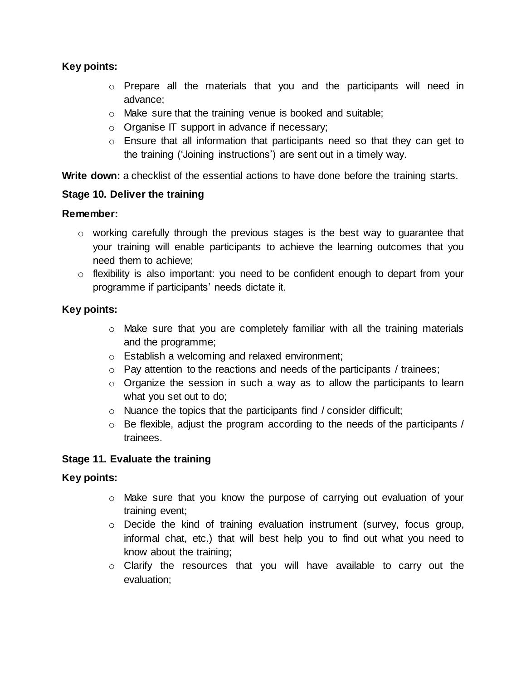### **Key points:**

- o Prepare all the materials that you and the participants will need in advance;
- o Make sure that the training venue is booked and suitable;
- o Organise IT support in advance if necessary;
- o Ensure that all information that participants need so that they can get to the training ('Joining instructions') are sent out in a timely way.

Write down: a checklist of the essential actions to have done before the training starts.

#### **Stage 10. Deliver the training**

#### **Remember:**

- $\circ$  working carefully through the previous stages is the best way to quarantee that your training will enable participants to achieve the learning outcomes that you need them to achieve;
- o flexibility is also important: you need to be confident enough to depart from your programme if participants' needs dictate it.

#### **Key points:**

- o Make sure that you are completely familiar with all the training materials and the programme;
- o Establish a welcoming and relaxed environment;
- $\circ$  Pay attention to the reactions and needs of the participants / trainees;
- $\circ$  Organize the session in such a way as to allow the participants to learn what you set out to do;
- o Nuance the topics that the participants find / consider difficult;
- o Be flexible, adjust the program according to the needs of the participants / trainees.

#### **Stage 11. Evaluate the training**

#### **Key points:**

- o Make sure that you know the purpose of carrying out evaluation of your training event;
- o Decide the kind of training evaluation instrument (survey, focus group, informal chat, etc.) that will best help you to find out what you need to know about the training;
- o Clarify the resources that you will have available to carry out the evaluation;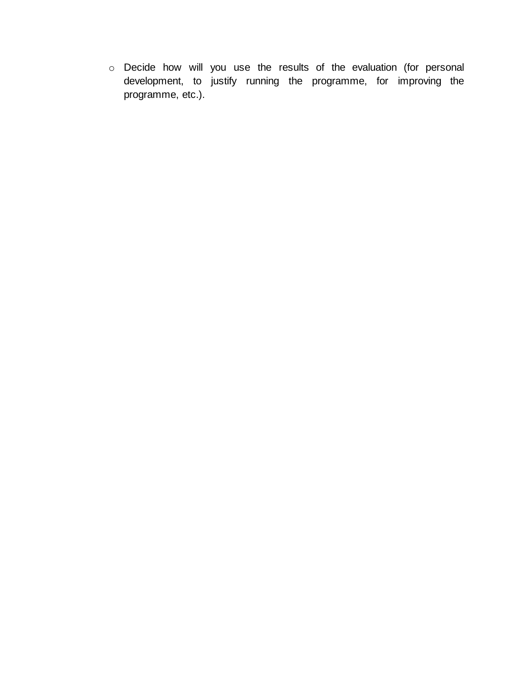o Decide how will you use the results of the evaluation (for personal development, to justify running the programme, for improving the programme, etc.).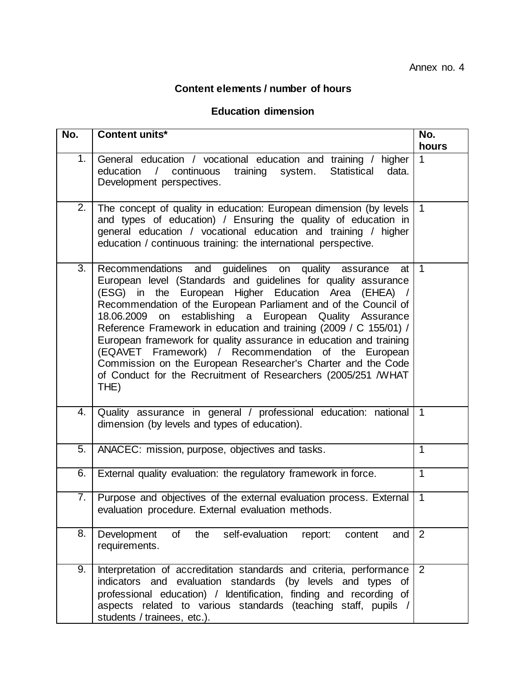# **Content elements / number of hours**

# **Education dimension**

| No.              | <b>Content units*</b>                                                                                                                                                                                                                                                                                                                                                                                                                                                                                                                                                                                                                                             | No.<br>hours   |
|------------------|-------------------------------------------------------------------------------------------------------------------------------------------------------------------------------------------------------------------------------------------------------------------------------------------------------------------------------------------------------------------------------------------------------------------------------------------------------------------------------------------------------------------------------------------------------------------------------------------------------------------------------------------------------------------|----------------|
| 1.               | General education / vocational education and training / higher<br>education<br>$\sqrt{2}$<br>continuous<br>training system.<br><b>Statistical</b><br>data.<br>Development perspectives.                                                                                                                                                                                                                                                                                                                                                                                                                                                                           | $\mathbf 1$    |
| 2.               | The concept of quality in education: European dimension (by levels<br>and types of education) / Ensuring the quality of education in<br>general education / vocational education and training / higher<br>education / continuous training: the international perspective.                                                                                                                                                                                                                                                                                                                                                                                         | $\overline{1}$ |
| $\overline{3}$ . | Recommendations and guidelines on quality assurance<br>at l<br>European level (Standards and guidelines for quality assurance<br>(ESG) in the European Higher Education Area (EHEA) /<br>Recommendation of the European Parliament and of the Council of<br>18.06.2009 on<br>establishing a European Quality Assurance<br>Reference Framework in education and training (2009 / C 155/01) /<br>European framework for quality assurance in education and training<br>(EQAVET Framework) / Recommendation of the European<br>Commission on the European Researcher's Charter and the Code<br>of Conduct for the Recruitment of Researchers (2005/251 /WHAT<br>THE) | $\mathbf 1$    |
| 4.               | Quality assurance in general / professional education: national<br>dimension (by levels and types of education).                                                                                                                                                                                                                                                                                                                                                                                                                                                                                                                                                  | $\mathbf 1$    |
| 5.               | ANACEC: mission, purpose, objectives and tasks.                                                                                                                                                                                                                                                                                                                                                                                                                                                                                                                                                                                                                   | 1              |
| 6.               | External quality evaluation: the regulatory framework in force.                                                                                                                                                                                                                                                                                                                                                                                                                                                                                                                                                                                                   | $\mathbf{1}$   |
| 7.               | Purpose and objectives of the external evaluation process. External<br>evaluation procedure. External evaluation methods.                                                                                                                                                                                                                                                                                                                                                                                                                                                                                                                                         | $\mathbf{1}$   |
| 8.               | of<br>the<br>Development<br>self-evaluation<br>report:<br>content<br>and<br>requirements.                                                                                                                                                                                                                                                                                                                                                                                                                                                                                                                                                                         | 2              |
| 9.               | Interpretation of accreditation standards and criteria, performance<br>indicators and evaluation standards (by levels and types<br>of<br>professional education) / Identification, finding and recording of<br>aspects related to various standards (teaching staff, pupils /<br>students / trainees, etc.).                                                                                                                                                                                                                                                                                                                                                      | $\overline{2}$ |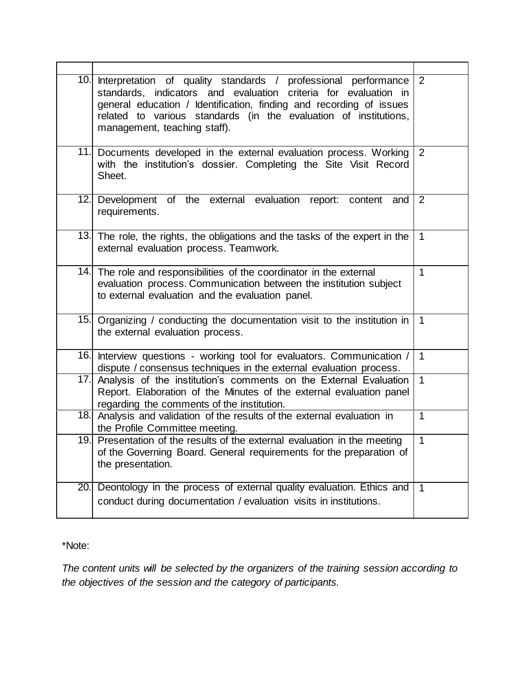|     | 10. Interpretation of quality standards / professional performance<br>standards, indicators and evaluation criteria for evaluation in<br>general education / Identification, finding and recording of issues<br>related to various standards (in the evaluation of institutions,<br>management, teaching staff). | 2              |
|-----|------------------------------------------------------------------------------------------------------------------------------------------------------------------------------------------------------------------------------------------------------------------------------------------------------------------|----------------|
|     | 11. Documents developed in the external evaluation process. Working<br>with the institution's dossier. Completing the Site Visit Record<br>Sheet.                                                                                                                                                                | 2              |
|     | 12. Development of the external evaluation report: content and<br>requirements.                                                                                                                                                                                                                                  | 2              |
|     | 13. The role, the rights, the obligations and the tasks of the expert in the<br>external evaluation process. Teamwork.                                                                                                                                                                                           | $\overline{1}$ |
|     | 14. The role and responsibilities of the coordinator in the external<br>evaluation process. Communication between the institution subject<br>to external evaluation and the evaluation panel.                                                                                                                    | $\mathbf{1}$   |
|     | 15. Organizing / conducting the documentation visit to the institution in<br>the external evaluation process.                                                                                                                                                                                                    | $\mathbf{1}$   |
|     | 16. Interview questions - working tool for evaluators. Communication /<br>dispute / consensus techniques in the external evaluation process.                                                                                                                                                                     | $\mathbf{1}$   |
|     | 17. Analysis of the institution's comments on the External Evaluation<br>Report. Elaboration of the Minutes of the external evaluation panel<br>regarding the comments of the institution.                                                                                                                       | $\mathbf{1}$   |
|     | 18. Analysis and validation of the results of the external evaluation in<br>the Profile Committee meeting.                                                                                                                                                                                                       | $\mathbf{1}$   |
|     | 19. Presentation of the results of the external evaluation in the meeting<br>of the Governing Board. General requirements for the preparation of<br>the presentation.                                                                                                                                            | $\mathbf{1}$   |
| 20. | Deontology in the process of external quality evaluation. Ethics and<br>conduct during documentation / evaluation visits in institutions.                                                                                                                                                                        | $\overline{1}$ |

## \*Note:

*The content units will be selected by the organizers of the training session according to the objectives of the session and the category of participants.*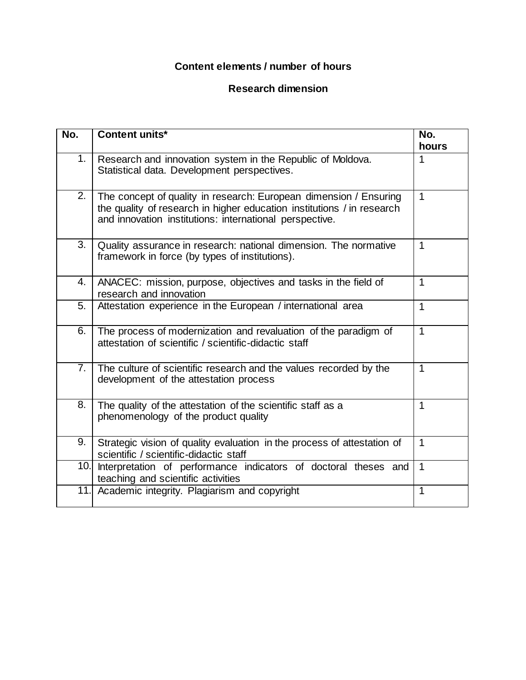## **Content elements / number of hours**

## **Research dimension**

| No. | <b>Content units*</b>                                                                                                                                                                                  | No.<br>hours   |
|-----|--------------------------------------------------------------------------------------------------------------------------------------------------------------------------------------------------------|----------------|
| 1.  | Research and innovation system in the Republic of Moldova.<br>Statistical data. Development perspectives.                                                                                              | 1              |
| 2.  | The concept of quality in research: European dimension / Ensuring<br>the quality of research in higher education institutions / in research<br>and innovation institutions: international perspective. | $\mathbf{1}$   |
| 3.  | Quality assurance in research: national dimension. The normative<br>framework in force (by types of institutions).                                                                                     | $\mathbf{1}$   |
| 4.  | ANACEC: mission, purpose, objectives and tasks in the field of<br>research and innovation                                                                                                              | $\mathbf 1$    |
| 5.  | Attestation experience in the European / international area                                                                                                                                            | $\mathbf{1}$   |
| 6.  | The process of modernization and revaluation of the paradigm of<br>attestation of scientific / scientific-didactic staff                                                                               | $\overline{1}$ |
| 7.  | The culture of scientific research and the values recorded by the<br>development of the attestation process                                                                                            | $\mathbf{1}$   |
| 8.  | The quality of the attestation of the scientific staff as a<br>phenomenology of the product quality                                                                                                    | $\mathbf 1$    |
| 9.  | Strategic vision of quality evaluation in the process of attestation of<br>scientific / scientific-didactic staff                                                                                      | $\mathbf{1}$   |
| 10. | Interpretation of performance indicators of doctoral theses and<br>teaching and scientific activities                                                                                                  | $\mathbf{1}$   |
| 11. | Academic integrity. Plagiarism and copyright                                                                                                                                                           | $\mathbf{1}$   |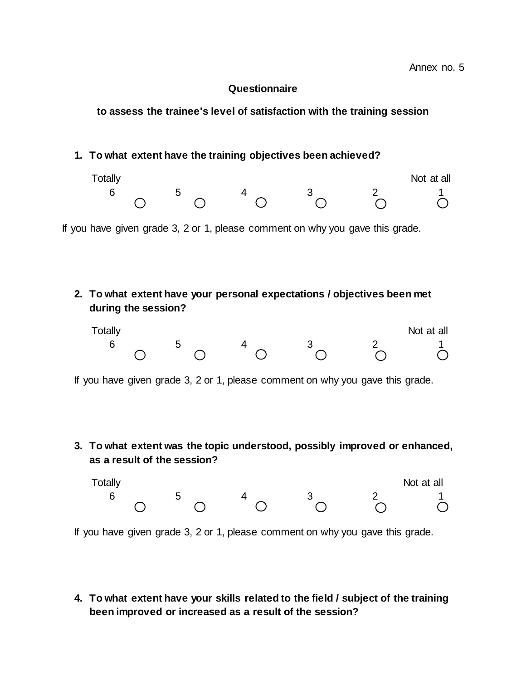#### **Questionnaire**

#### **to assess the trainee's level of satisfaction with the training session**

#### **1. To what extent have the training objectives been achieved?**



If you have given grade 3, 2 or 1, please comment on why you gave this grade.

**2. To what extent have your personal expectations / objectives been met during the session?**

| Totally |   |  | Not at all |
|---------|---|--|------------|
|         | ັ |  |            |

If you have given grade 3, 2 or 1, please comment on why you gave this grade.

**3. To what extent was the topic understood, possibly improved or enhanced, as a result of the session?**

| Totally |  |  | Not at all |
|---------|--|--|------------|
|         |  |  |            |

If you have given grade 3, 2 or 1, please comment on why you gave this grade.

**4. To what extent have your skills related to the field / subject of the training been improved or increased as a result of the session?**